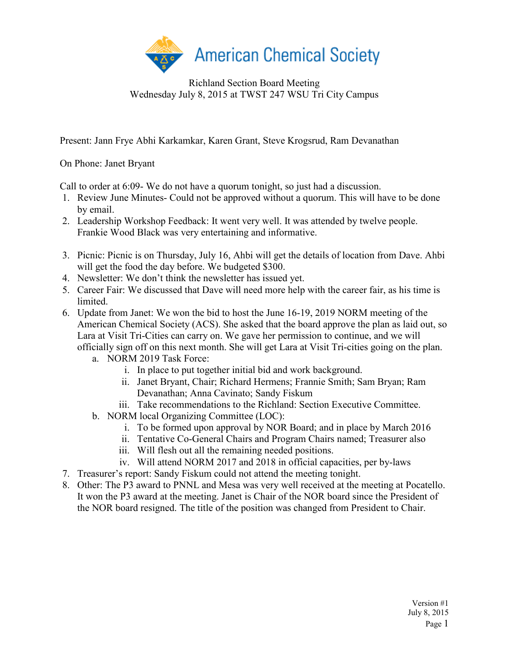

Richland Section Board Meeting Wednesday July 8, 2015 at TWST 247 WSU Tri City Campus

Present: Jann Frye Abhi Karkamkar, Karen Grant, Steve Krogsrud, Ram Devanathan

On Phone: Janet Bryant

Call to order at 6:09- We do not have a quorum tonight, so just had a discussion.

- 1. Review June Minutes- Could not be approved without a quorum. This will have to be done by email.
- 2. Leadership Workshop Feedback: It went very well. It was attended by twelve people. Frankie Wood Black was very entertaining and informative.
- 3. Picnic: Picnic is on Thursday, July 16, Ahbi will get the details of location from Dave. Ahbi will get the food the day before. We budgeted \$300.
- 4. Newsletter: We don't think the newsletter has issued yet.
- 5. Career Fair: We discussed that Dave will need more help with the career fair, as his time is **limited**
- 6. Update from Janet: We won the bid to host the June 16-19, 2019 NORM meeting of the American Chemical Society (ACS). She asked that the board approve the plan as laid out, so Lara at Visit Tri-Cities can carry on. We gave her permission to continue, and we will officially sign off on this next month. She will get Lara at Visit Tri-cities going on the plan.
	- a. NORM 2019 Task Force:
		- i. In place to put together initial bid and work background.
		- ii. Janet Bryant, Chair; Richard Hermens; Frannie Smith; Sam Bryan; Ram Devanathan; Anna Cavinato; Sandy Fiskum
		- iii. Take recommendations to the Richland: Section Executive Committee.
	- b. NORM local Organizing Committee (LOC):
		- i. To be formed upon approval by NOR Board; and in place by March 2016
		- ii. Tentative Co-General Chairs and Program Chairs named; Treasurer also
		- iii. Will flesh out all the remaining needed positions.
		- iv. Will attend NORM 2017 and 2018 in official capacities, per by-laws
- 7. Treasurer's report: Sandy Fiskum could not attend the meeting tonight.
- 8. Other: The P3 award to PNNL and Mesa was very well received at the meeting at Pocatello. It won the P3 award at the meeting. Janet is Chair of the NOR board since the President of the NOR board resigned. The title of the position was changed from President to Chair.